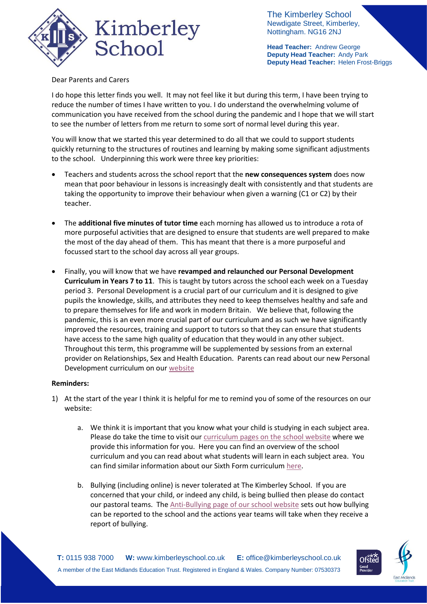

The Kimberley School Newdigate Street, Kimberley, Nottingham. NG16 2NJ

**Head Teacher:** Andrew George **Deputy Head Teacher:** Andy Park **Deputy Head Teacher:** Helen Frost-Briggs

## Dear Parents and Carers

I do hope this letter finds you well. It may not feel like it but during this term, I have been trying to reduce the number of times I have written to you. I do understand the overwhelming volume of communication you have received from the school during the pandemic and I hope that we will start to see the number of letters from me return to some sort of normal level during this year.

You will know that we started this year determined to do all that we could to support students quickly returning to the structures of routines and learning by making some significant adjustments to the school. Underpinning this work were three key priorities:

- Teachers and students across the school report that the **new consequences system** does now mean that poor behaviour in lessons is increasingly dealt with consistently and that students are taking the opportunity to improve their behaviour when given a warning (C1 or C2) by their teacher.
- The **additional five minutes of tutor time** each morning has allowed us to introduce a rota of more purposeful activities that are designed to ensure that students are well prepared to make the most of the day ahead of them. This has meant that there is a more purposeful and focussed start to the school day across all year groups.
- Finally, you will know that we have **revamped and relaunched our Personal Development Curriculum in Years 7 to 11**. This is taught by tutors across the school each week on a Tuesday period 3. Personal Development is a crucial part of our curriculum and it is designed to give pupils the knowledge, skills, and attributes they need to keep themselves healthy and safe and to prepare themselves for life and work in modern Britain. We believe that, following the pandemic, this is an even more crucial part of our curriculum and as such we have significantly improved the resources, training and support to tutors so that they can ensure that students have access to the same high quality of education that they would in any other subject. Throughout this term, this programme will be supplemented by sessions from an external provider on Relationships, Sex and Health Education. Parents can read about our new Personal Development curriculum on ou[r website](https://www.kimberleyschool.co.uk/personaldevelopment)

## **Reminders:**

- 1) At the start of the year I think it is helpful for me to remind you of some of the resources on our website:
	- a. We think it is important that you know what your child is studying in each subject area. Please do take the time to visit our [curriculum pages on the school website](https://www.kimberleyschool.co.uk/curriculum-overview) where we provide this information for you. Here you can find an overview of the school curriculum and you can read about what students will learn in each subject area. You can find similar information about our Sixth Form curriculu[m here.](https://676e78de-15d9-46b7-9fcd-a49f46e58722.filesusr.com/ugd/b2657a_f7f3fc03162b4372b6d78a23b1381f2e.pdf)
	- b. Bullying (including online) is never tolerated at The Kimberley School. If you are concerned that your child, or indeed any child, is being bullied then please do contact our pastoral teams. The [Anti-Bullying page of our school website](https://www.kimberleyschool.co.uk/anit-bullying) sets out how bullying can be reported to the school and the actions year teams will take when they receive a report of bullying.